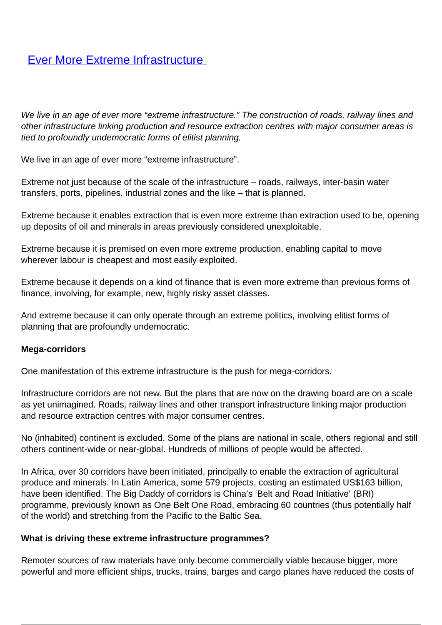# **[Ever More Extreme Infrastructure](/bulletin-articles/ever-more-extreme-infrastructure)**

We live in an age of ever more "extreme infrastructure." The construction of roads, railway lines and other infrastructure linking production and resource extraction centres with major consumer areas is tied to profoundly undemocratic forms of elitist planning.

We live in an age of ever more "extreme infrastructure".

Extreme not just because of the scale of the infrastructure – roads, railways, inter-basin water transfers, ports, pipelines, industrial zones and the like – that is planned.

Extreme because it enables extraction that is even more extreme than extraction used to be, opening up deposits of oil and minerals in areas previously considered unexploitable.

Extreme because it is premised on even more extreme production, enabling capital to move wherever labour is cheapest and most easily exploited.

Extreme because it depends on a kind of finance that is even more extreme than previous forms of finance, involving, for example, new, highly risky asset classes.

And extreme because it can only operate through an extreme politics, involving elitist forms of planning that are profoundly undemocratic.

#### **Mega-corridors**

One manifestation of this extreme infrastructure is the push for mega-corridors.

Infrastructure corridors are not new. But the plans that are now on the drawing board are on a scale as yet unimagined. Roads, railway lines and other transport infrastructure linking major production and resource extraction centres with major consumer centres.

No (inhabited) continent is excluded. Some of the plans are national in scale, others regional and still others continent-wide or near-global. Hundreds of millions of people would be affected.

In Africa, over 30 corridors have been initiated, principally to enable the extraction of agricultural produce and minerals. In Latin America, some 579 projects, costing an estimated US\$163 billion, have been identified. The Big Daddy of corridors is China's 'Belt and Road Initiative' (BRI) programme, previously known as One Belt One Road, embracing 60 countries (thus potentially half of the world) and stretching from the Pacific to the Baltic Sea.

#### **What is driving these extreme infrastructure programmes?**

Remoter sources of raw materials have only become commercially viable because bigger, more powerful and more efficient ships, trucks, trains, barges and cargo planes have reduced the costs of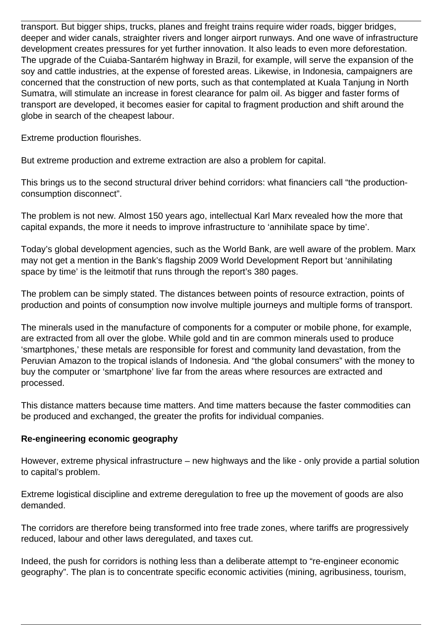transport. But bigger ships, trucks, planes and freight trains require wider roads, bigger bridges, deeper and wider canals, straighter rivers and longer airport runways. And one wave of infrastructure development creates pressures for yet further innovation. It also leads to even more deforestation. The upgrade of the Cuiaba-Santarém highway in Brazil, for example, will serve the expansion of the soy and cattle industries, at the expense of forested areas. Likewise, in Indonesia, campaigners are concerned that the construction of new ports, such as that contemplated at Kuala Tanjung in North Sumatra, will stimulate an increase in forest clearance for palm oil. As bigger and faster forms of transport are developed, it becomes easier for capital to fragment production and shift around the globe in search of the cheapest labour.

Extreme production flourishes.

But extreme production and extreme extraction are also a problem for capital.

This brings us to the second structural driver behind corridors: what financiers call "the productionconsumption disconnect".

The problem is not new. Almost 150 years ago, intellectual Karl Marx revealed how the more that capital expands, the more it needs to improve infrastructure to 'annihilate space by time'.

Today's global development agencies, such as the World Bank, are well aware of the problem. Marx may not get a mention in the Bank's flagship 2009 World Development Report but 'annihilating space by time' is the leitmotif that runs through the report's 380 pages.

The problem can be simply stated. The distances between points of resource extraction, points of production and points of consumption now involve multiple journeys and multiple forms of transport.

The minerals used in the manufacture of components for a computer or mobile phone, for example, are extracted from all over the globe. While gold and tin are common minerals used to produce 'smartphones,' these metals are responsible for forest and community land devastation, from the Peruvian Amazon to the tropical islands of Indonesia. And "the global consumers" with the money to buy the computer or 'smartphone' live far from the areas where resources are extracted and processed.

This distance matters because time matters. And time matters because the faster commodities can be produced and exchanged, the greater the profits for individual companies.

#### **Re-engineering economic geography**

However, extreme physical infrastructure – new highways and the like - only provide a partial solution to capital's problem.

Extreme logistical discipline and extreme deregulation to free up the movement of goods are also demanded.

The corridors are therefore being transformed into free trade zones, where tariffs are progressively reduced, labour and other laws deregulated, and taxes cut.

Indeed, the push for corridors is nothing less than a deliberate attempt to "re-engineer economic geography". The plan is to concentrate specific economic activities (mining, agribusiness, tourism,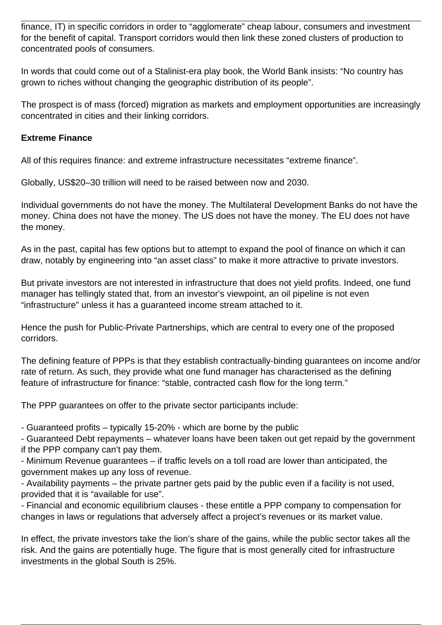finance, IT) in specific corridors in order to "agglomerate" cheap labour, consumers and investment for the benefit of capital. Transport corridors would then link these zoned clusters of production to concentrated pools of consumers.

In words that could come out of a Stalinist-era play book, the World Bank insists: "No country has grown to riches without changing the geographic distribution of its people".

The prospect is of mass (forced) migration as markets and employment opportunities are increasingly concentrated in cities and their linking corridors.

## **Extreme Finance**

All of this requires finance: and extreme infrastructure necessitates "extreme finance".

Globally, US\$20–30 trillion will need to be raised between now and 2030.

Individual governments do not have the money. The Multilateral Development Banks do not have the money. China does not have the money. The US does not have the money. The EU does not have the money.

As in the past, capital has few options but to attempt to expand the pool of finance on which it can draw, notably by engineering into "an asset class" to make it more attractive to private investors.

But private investors are not interested in infrastructure that does not yield profits. Indeed, one fund manager has tellingly stated that, from an investor's viewpoint, an oil pipeline is not even "infrastructure" unless it has a guaranteed income stream attached to it.

Hence the push for Public-Private Partnerships, which are central to every one of the proposed corridors.

The defining feature of PPPs is that they establish contractually-binding guarantees on income and/or rate of return. As such, they provide what one fund manager has characterised as the defining feature of infrastructure for finance: "stable, contracted cash flow for the long term."

The PPP guarantees on offer to the private sector participants include:

- Guaranteed profits – typically 15-20% - which are borne by the public

- Guaranteed Debt repayments – whatever loans have been taken out get repaid by the government if the PPP company can't pay them.

- Minimum Revenue guarantees – if traffic levels on a toll road are lower than anticipated, the government makes up any loss of revenue.

- Availability payments – the private partner gets paid by the public even if a facility is not used, provided that it is "available for use".

- Financial and economic equilibrium clauses - these entitle a PPP company to compensation for changes in laws or regulations that adversely affect a project's revenues or its market value.

In effect, the private investors take the lion's share of the gains, while the public sector takes all the risk. And the gains are potentially huge. The figure that is most generally cited for infrastructure investments in the global South is 25%.